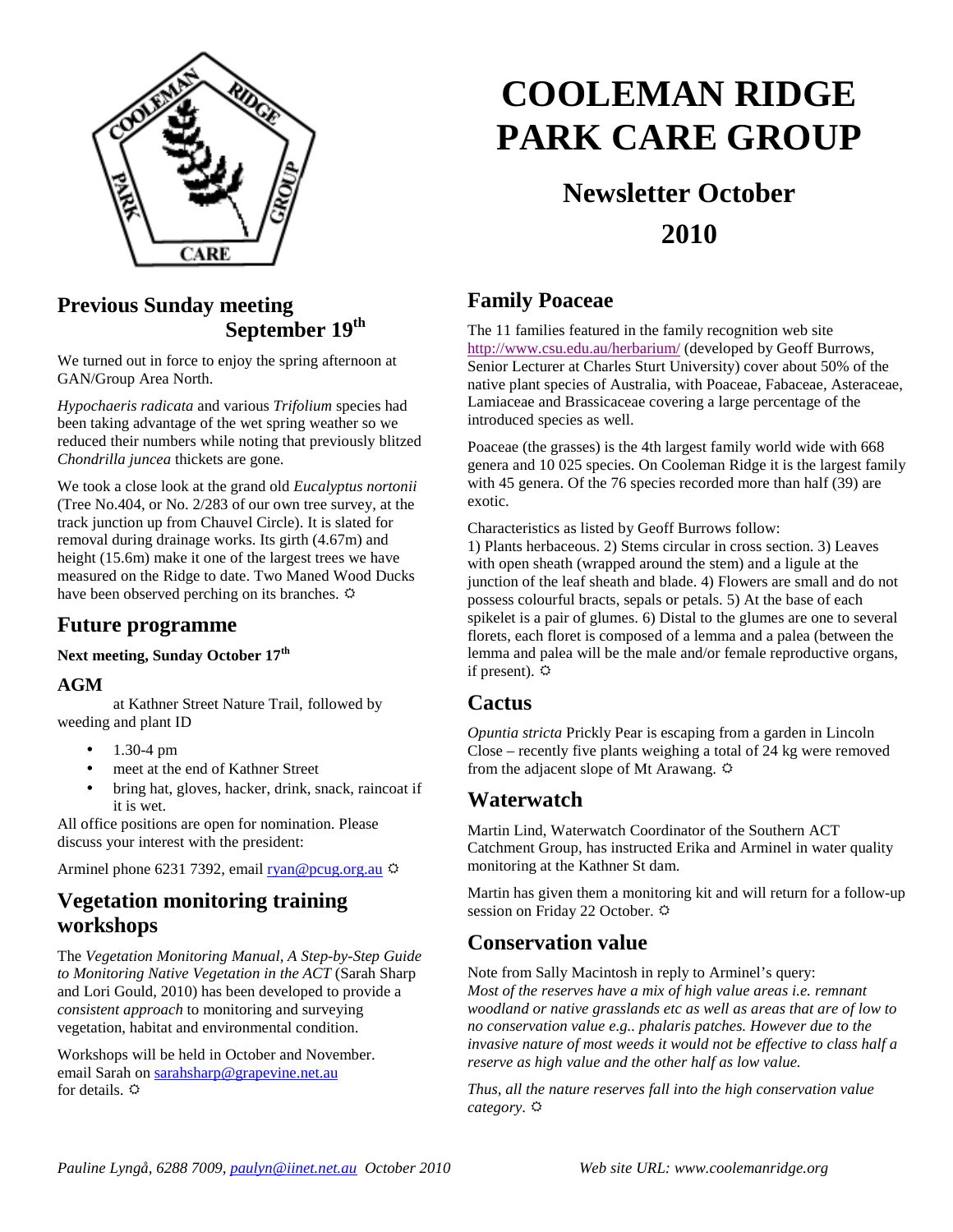

## **Previous Sunday meeting September 19th**

We turned out in force to enjoy the spring afternoon at GAN/Group Area North.

*Hypochaeris radicata* and various *Trifolium* species had been taking advantage of the wet spring weather so we reduced their numbers while noting that previously blitzed *Chondrilla juncea* thickets are gone.

We took a close look at the grand old *Eucalyptus nortonii* (Tree No.404, or No. 2/283 of our own tree survey, at the track junction up from Chauvel Circle). It is slated for removal during drainage works. Its girth (4.67m) and height (15.6m) make it one of the largest trees we have measured on the Ridge to date. Two Maned Wood Ducks have been observed perching on its branches.  $\Phi$ 

#### **Future programme**

#### **Next meeting, Sunday October 17th**

#### **AGM**

at Kathner Street Nature Trail, followed by weeding and plant ID

- 1.30-4 pm
- meet at the end of Kathner Street
- bring hat, gloves, hacker, drink, snack, raincoat if it is wet.

All office positions are open for nomination. Please discuss your interest with the president:

Arminel phone 6231 7392, email  $\frac{r}{\text{van} \otimes \text{pcug.org.au}}$ 

## **Vegetation monitoring training workshops**

The *Vegetation Monitoring Manual, A Step-by-Step Guide to Monitoring Native Vegetation in the ACT* (Sarah Sharp and Lori Gould, 2010) has been developed to provide a *consistent approach* to monitoring and surveying vegetation, habitat and environmental condition.

Workshops will be held in October and November. email Sarah on sarahsharp@grapevine.net.au for details.  $\ddot{\mathbf{Q}}$ 

# **COOLEMAN RIDGE PARK CARE GROUP**

## **Newsletter October 2010**

## **Family Poaceae**

The 11 families featured in the family recognition web site http://www.csu.edu.au/herbarium/ (developed by Geoff Burrows, Senior Lecturer at Charles Sturt University) cover about 50% of the native plant species of Australia, with Poaceae, Fabaceae, Asteraceae, Lamiaceae and Brassicaceae covering a large percentage of the introduced species as well.

Poaceae (the grasses) is the 4th largest family world wide with 668 genera and 10 025 species. On Cooleman Ridge it is the largest family with 45 genera. Of the 76 species recorded more than half (39) are exotic.

Characteristics as listed by Geoff Burrows follow:

1) Plants herbaceous. 2) Stems circular in cross section. 3) Leaves with open sheath (wrapped around the stem) and a ligule at the junction of the leaf sheath and blade. 4) Flowers are small and do not possess colourful bracts, sepals or petals. 5) At the base of each spikelet is a pair of glumes. 6) Distal to the glumes are one to several florets, each floret is composed of a lemma and a palea (between the lemma and palea will be the male and/or female reproductive organs, if present).  $\Leftrightarrow$ 

#### **Cactus**

*Opuntia stricta* Prickly Pear is escaping from a garden in Lincoln Close – recently five plants weighing a total of 24 kg were removed from the adjacent slope of Mt Arawang.

#### **Waterwatch**

Martin Lind, Waterwatch Coordinator of the Southern ACT Catchment Group, has instructed Erika and Arminel in water quality monitoring at the Kathner St dam.

Martin has given them a monitoring kit and will return for a follow-up session on Friday 22 October.

### **Conservation value**

Note from Sally Macintosh in reply to Arminel's query: *Most of the reserves have a mix of high value areas i.e. remnant woodland or native grasslands etc as well as areas that are of low to no conservation value e.g.. phalaris patches. However due to the invasive nature of most weeds it would not be effective to class half a reserve as high value and the other half as low value.* 

*Thus, all the nature reserves fall into the high conservation value category*.